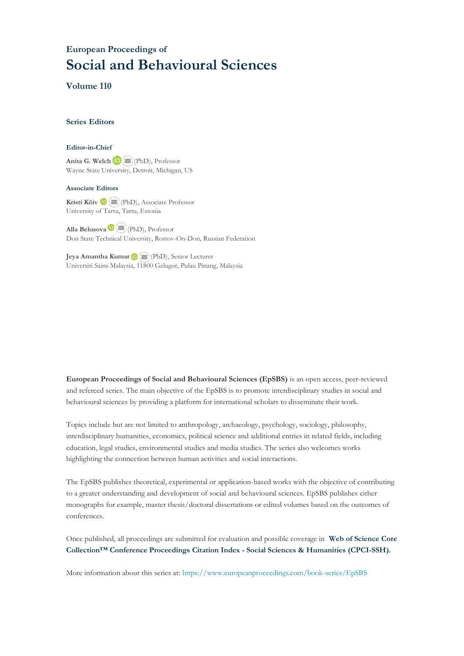# **European Proceedings of Social and Behavioural Sciences**

**Volume 110**

#### **Series Editors**

#### **Editor-in-Chief**

**Anita G. Welch** (PhD), Professor Wayne State University, Detroit, Michigan, US

#### **Associate Editors**

**Kristi Köiv** (PhD), Associate Professor University of Tartu, Tartu, Estonia

**Alla Belusova**(PhD), Professor Don State Technical University, Rostov-On-Don, Russian Federation

**Jeya Amantha Kumar**(PhD), Senior Lecturer Universiti Sains Malaysia, [1180](mailto:amantha@usm.my)0 Gelugor, Pulau Pinang, Malaysia

**European Proceedings of Social and Behavioural Sciences (EpSBS)** is an open access, peer-reviewed and refereed series. The main objective of the EpSBS is to promote interdisciplinary studies in social and behavioural sciences by providing a platform for international scholars to disseminate their work.

Topics include but are not limited to anthropology, archaeology, psychology, sociology, philosophy, interdisciplinary humanities, economics, political science and additional entries in related fields, including education, legal studies, environmental studies and media studies. The series also welcomes works highlighting the connection between human activities and social interactions.

The EpSBS publishes theoretical, experimental or application-based works with the objective of contributing to a greater understanding and development of social and behavioural sciences. EpSBS publishes either monographs for example, master thesis/doctoral dissertations or edited volumes based on the outcomes of conferences.

Once published, all proceedings are submitted for evaluation and possible coverage in **Web of [Science](https://clarivate.com/webofsciencegroup/solutions/webofscience-cpci/) Core Collection™ Conference Proceedings Citation Index - Social Sciences & Humanities [\(CPCI-SSH\).](https://clarivate.com/webofsciencegroup/solutions/webofscience-cpci/)**

More information about this series at[: https://www.europeanproceedings.com/book-series/EpSBS](https://www.europeanproceedings.com/book-series/EpSBS)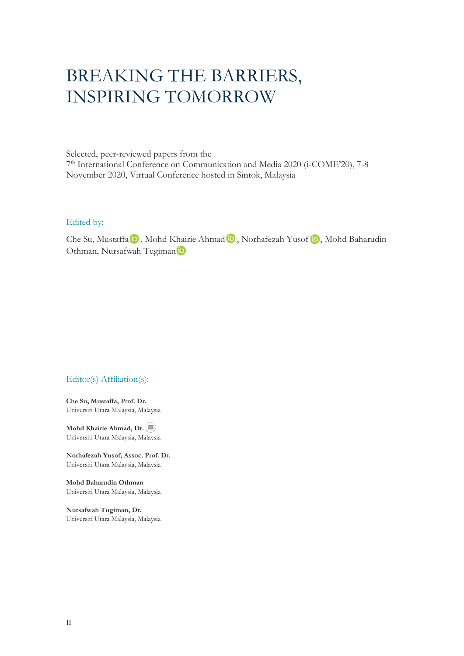# BREAKING THE BARRIERS, INSPIRING TOMORROW

Selected, peer-reviewed papers from the 7 th International Conference on Communication and Media 2020 (i-COME'20), 7-8 November 2020, Virtual Conference hosted in Sintok, Malaysia

# Edited by:

CheSu, Mustaffa **b**, Mohd Khairie Ahmad **b**, Norhafezah Yusof **b**, Mohd Baharudin Othman, Nursafwah Tugiman

# Editor(s) Affiliation(s):

**Che Su, Mustaffa, Prof. Dr.** Universiti Utara Malaysia, Malaysia

**Mohd Khairie Ahmad, Dr.** Universiti Utara Malaysia, Malaysia

**Norhafezah Yusof, Assoc. Prof. Dr.** Universiti Utara Malaysia, Malaysia

**Mohd Baharudin Othman** Universiti Utara Malaysia, Malaysia

**Nursafwah Tugiman, Dr.** Universiti Utara Malaysia, Malaysia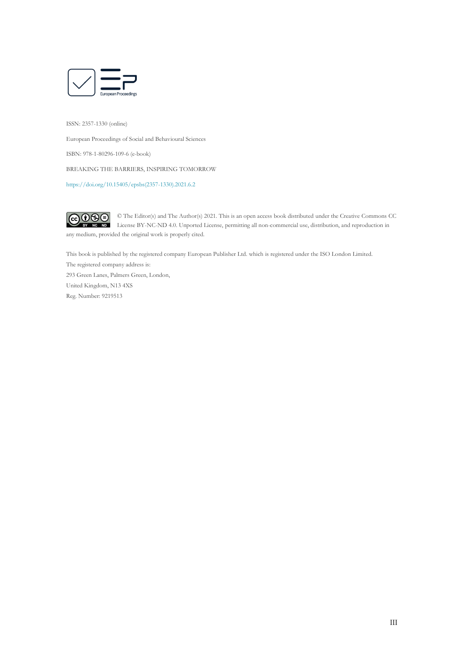

ISSN: 2357-1330 (online)

European Proceedings of Social and Behavioural Sciences

ISBN: 978-1-80296-109-6 (e-book)

BREAKING THE BARRIERS, INSPIRING TOMORROW

[https://doi.org/10.15405/epsbs\(2357-1330\).2021.6.2](https://doi.org/10.15405/epsbs(2357-1330).2021.6.2)



© The Editor(s) and The Author(s) 2021. This is an open access book distributed under the Creative Commons CC BY NC ND License BY-NC-ND 4.0. Unported License, permitting all non-commercial use, distribution, and reproduction in any medium, provided the original work is properly cited.

This book is published by the registered company European Publisher Ltd. which is registered under the ISO London Limited. The registered company address is: 293 Green Lanes, Palmers Green, London, United Kingdom, N13 4XS Reg. Number: 9219513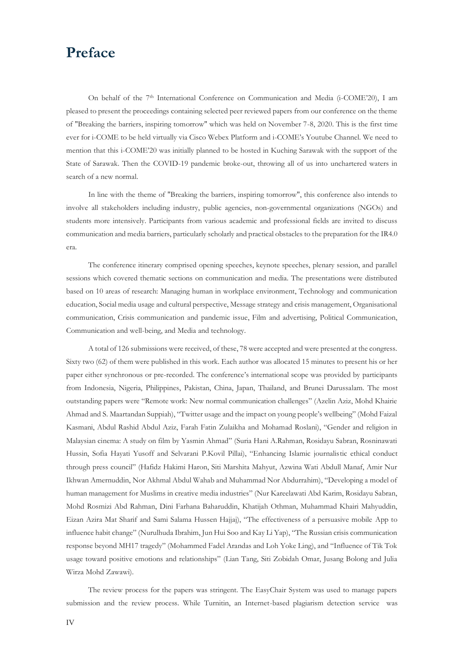# **Preface**

On behalf of the 7<sup>th</sup> International Conference on Communication and Media (i-COME'20), I am pleased to present the proceedings containing selected peer reviewed papers from our conference on the theme of "Breaking the barriers, inspiring tomorrow" which was held on November 7-8, 2020. This is the first time ever for i-COME to be held virtually via Cisco Webex Platform and i-COME's Youtube Channel. We need to mention that this i-COME'20 was initially planned to be hosted in Kuching Sarawak with the support of the State of Sarawak. Then the COVID-19 pandemic broke-out, throwing all of us into unchartered waters in search of a new normal.

In line with the theme of "Breaking the barriers, inspiring tomorrow", this conference also intends to involve all stakeholders including industry, public agencies, non-governmental organizations (NGOs) and students more intensively. Participants from various academic and professional fields are invited to discuss communication and media barriers, particularly scholarly and practical obstacles to the preparation for the IR4.0 era.

The conference itinerary comprised opening speeches, keynote speeches, plenary session, and parallel sessions which covered thematic sections on communication and media. The presentations were distributed based on 10 areas of research: Managing human in workplace environment, Technology and communication education, Social media usage and cultural perspective, Message strategy and crisis management, Organisational communication, Crisis communication and pandemic issue, Film and advertising, Political Communication, Communication and well-being, and Media and technology.

A total of 126 submissions were received, of these, 78 were accepted and were presented at the congress. Sixty two (62) of them were published in this work. Each author was allocated 15 minutes to present his or her paper either synchronous or pre-recorded. The conference's international scope was provided by participants from Indonesia, Nigeria, Philippines, Pakistan, China, Japan, Thailand, and Brunei Darussalam. The most outstanding papers were "Remote work: New normal communication challenges" (Azelin Aziz, Mohd Khairie Ahmad and S. Maartandan Suppiah), "Twitter usage and the impact on young people's wellbeing" (Mohd Faizal Kasmani, Abdul Rashid Abdul Aziz, Farah Fatin Zulaikha and Mohamad Roslani), "Gender and religion in Malaysian cinema: A study on film by Yasmin Ahmad" (Suria Hani A.Rahman, Rosidayu Sabran, Rosninawati Hussin, Sofia Hayati Yusoff and Selvarani P.Kovil Pillai), "Enhancing Islamic journalistic ethical conduct through press council" (Hafidz Hakimi Haron, Siti Marshita Mahyut, Azwina Wati Abdull Manaf, Amir Nur Ikhwan Amernuddin, Nor Akhmal Abdul Wahab and Muhammad Nor Abdurrahim), "Developing a model of human management for Muslims in creative media industries" (Nur Kareelawati Abd Karim, Rosidayu Sabran, Mohd Rosmizi Abd Rahman, Dini Farhana Baharuddin, Khatijah Othman, Muhammad Khairi Mahyuddin, Eizan Azira Mat Sharif and Sami Salama Hussen Hajjaj), "The effectiveness of a persuasive mobile App to influence habit change" (Nurulhuda Ibrahim, Jun Hui Soo and Kay Li Yap), "The Russian crisis communication response beyond MH17 tragedy" (Mohammed Fadel Arandas and Loh Yoke Ling), and "Influence of Tik Tok usage toward positive emotions and relationships" (Lian Tang, Siti Zobidah Omar, Jusang Bolong and Julia Wirza Mohd Zawawi).

The review process for the papers was stringent. The EasyChair System was used to manage papers submission and the review process. While Turnitin, an Internet-based plagiarism detection service was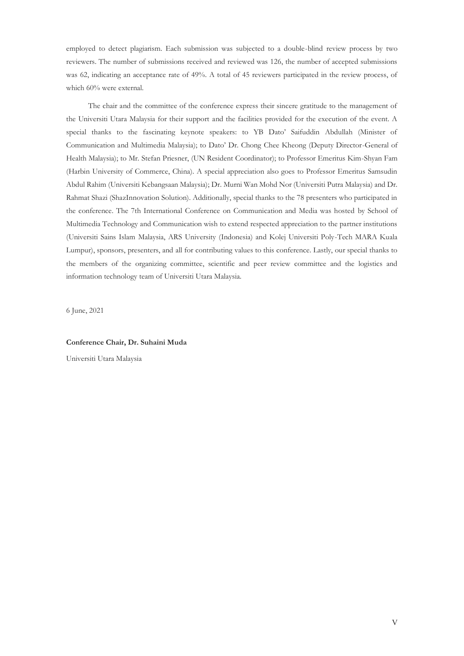employed to detect plagiarism. Each submission was subjected to a double-blind review process by two reviewers. The number of submissions received and reviewed was 126, the number of accepted submissions was 62, indicating an acceptance rate of 49%. A total of 45 reviewers participated in the review process, of which 60% were external.

The chair and the committee of the conference express their sincere gratitude to the management of the Universiti Utara Malaysia for their support and the facilities provided for the execution of the event. A special thanks to the fascinating keynote speakers: to YB Dato' Saifuddin Abdullah (Minister of Communication and Multimedia Malaysia); to Dato' Dr. Chong Chee Kheong (Deputy Director-General of Health Malaysia); to Mr. Stefan Priesner, (UN Resident Coordinator); to Professor Emeritus Kim-Shyan Fam (Harbin University of Commerce, China). A special appreciation also goes to Professor Emeritus Samsudin Abdul Rahim (Universiti Kebangsaan Malaysia); Dr. Murni Wan Mohd Nor (Universiti Putra Malaysia) and Dr. Rahmat Shazi (ShazInnovation Solution). Additionally, special thanks to the 78 presenters who participated in the conference. The 7th International Conference on Communication and Media was hosted by School of Multimedia Technology and Communication wish to extend respected appreciation to the partner institutions (Universiti Sains Islam Malaysia, ARS University (Indonesia) and Kolej Universiti Poly-Tech MARA Kuala Lumpur), sponsors, presenters, and all for contributing values to this conference. Lastly, our special thanks to the members of the organizing committee, scientific and peer review committee and the logistics and information technology team of Universiti Utara Malaysia.

6 June, 2021

#### **Conference Chair, Dr. Suhaini Muda**

Universiti Utara Malaysia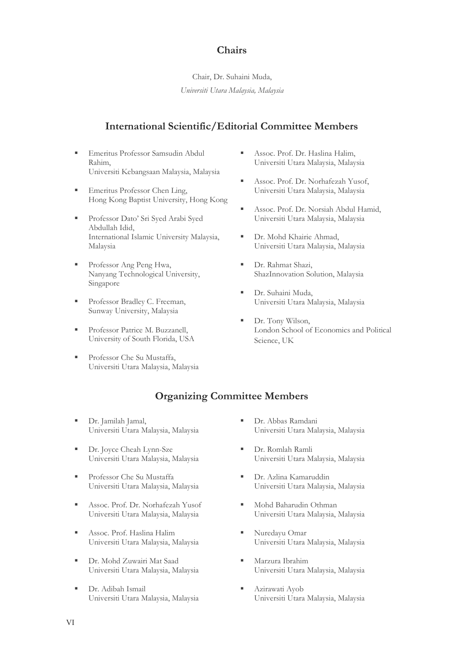# **Chairs**

# Chair, Dr. Suhaini Muda, *Universiti Utara Malaysia, Malaysia*

# **International Scientific/Editorial Committee Members**

- Emeritus Professor Samsudin Abdul Rahim, Universiti Kebangsaan Malaysia, Malaysia
- Emeritus Professor Chen Ling, Hong Kong Baptist University, Hong Kong
- Professor Dato' Sri Syed Arabi Syed Abdullah Idid, International Islamic University Malaysia, Malaysia
- Professor Ang Peng Hwa, Nanyang Technological University, Singapore
- Professor Bradley C. Freeman, Sunway University, Malaysia
- **Professor Patrice M. Buzzanell,** University of South Florida, USA
- Professor Che Su Mustaffa, Universiti Utara Malaysia, Malaysia
- Assoc. Prof. Dr. Haslina Halim, Universiti Utara Malaysia, Malaysia
- Assoc. Prof. Dr. Norhafezah Yusof, Universiti Utara Malaysia, Malaysia
- Assoc. Prof. Dr. Norsiah Abdul Hamid, Universiti Utara Malaysia, Malaysia
- Dr. Mohd Khairie Ahmad, Universiti Utara Malaysia, Malaysia
- Dr. Rahmat Shazi, ShazInnovation Solution, Malaysia
- Dr. Suhaini Muda, Universiti Utara Malaysia, Malaysia
- Dr. Tony Wilson, London School of Economics and Political Science, UK

# **Organizing Committee Members**

- Dr. Jamilah Jamal, Universiti Utara Malaysia, Malaysia
- Dr. Joyce Cheah Lynn-Sze Universiti Utara Malaysia, Malaysia
- Professor Che Su Mustaffa Universiti Utara Malaysia, Malaysia
- **BED Assoc. Prof. Dr. Norhafezah Yusof** Universiti Utara Malaysia, Malaysia
- Assoc. Prof. Haslina Halim Universiti Utara Malaysia, Malaysia
- Dr. Mohd Zuwairi Mat Saad Universiti Utara Malaysia, Malaysia
- Dr. Adibah Ismail Universiti Utara Malaysia, Malaysia
- Dr. Abbas Ramdani Universiti Utara Malaysia, Malaysia
- Dr. Romlah Ramli Universiti Utara Malaysia, Malaysia
- Dr. Azlina Kamaruddin Universiti Utara Malaysia, Malaysia
- Mohd Baharudin Othman Universiti Utara Malaysia, Malaysia
- Nuredayu Omar Universiti Utara Malaysia, Malaysia
- Marzura Ibrahim Universiti Utara Malaysia, Malaysia
- Azirawati Ayob Universiti Utara Malaysia, Malaysia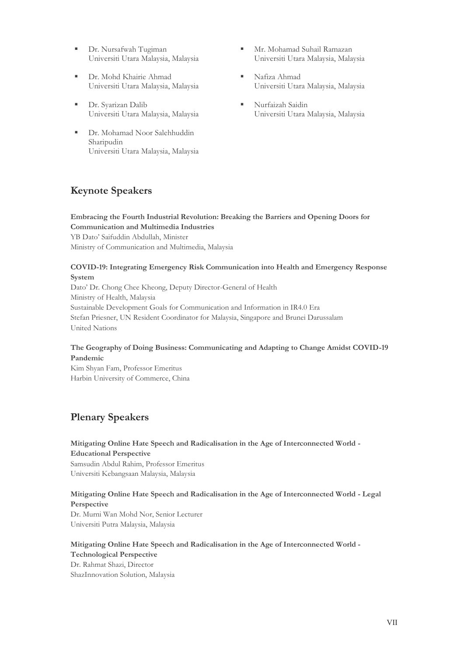- **Dr. Nursafwah Tugiman** Universiti Utara Malaysia, Malaysia
- Dr. Mohd Khairie Ahmad Universiti Utara Malaysia, Malaysia
- Dr. Syarizan Dalib Universiti Utara Malaysia, Malaysia
- Dr. Mohamad Noor Salehhuddin Sharipudin Universiti Utara Malaysia, Malaysia
- Mr. Mohamad Suhail Ramazan Universiti Utara Malaysia, Malaysia
- Nafiza Ahmad Universiti Utara Malaysia, Malaysia
- Nurfaizah Saidin Universiti Utara Malaysia, Malaysia

# **Keynote Speakers**

# **Embracing the Fourth Industrial Revolution: Breaking the Barriers and Opening Doors for Communication and Multimedia Industries** YB Dato' Saifuddin Abdullah, Minister Ministry of Communication and Multimedia, Malaysia

# **COVID-19: Integrating Emergency Risk Communication into Health and Emergency Response System**

Dato' Dr. Chong Chee Kheong, Deputy Director-General of Health Ministry of Health, Malaysia Sustainable Development Goals for Communication and Information in IR4.0 Era Stefan Priesner, UN Resident Coordinator for Malaysia, Singapore and Brunei Darussalam United Nations

# **The Geography of Doing Business: Communicating and Adapting to Change Amidst COVID-19 Pandemic**

Kim Shyan Fam, Professor Emeritus Harbin University of Commerce, China

# **Plenary Speakers**

# **Mitigating Online Hate Speech and Radicalisation in the Age of Interconnected World - Educational Perspective**  Samsudin Abdul Rahim, Professor Emeritus

Universiti Kebangsaan Malaysia, Malaysia

# **Mitigating Online Hate Speech and Radicalisation in the Age of Interconnected World - Legal Perspective**

Dr. Murni Wan Mohd Nor, Senior Lecturer Universiti Putra Malaysia, Malaysia

# **Mitigating Online Hate Speech and Radicalisation in the Age of Interconnected World -**

**Technological Perspective**  Dr. Rahmat Shazi, Director ShazInnovation Solution, Malaysia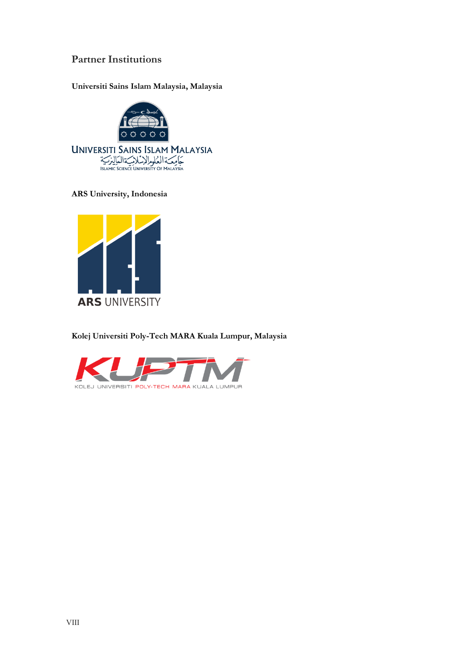# **Partner Institutions**

**Universiti Sains Islam Malaysia, Malaysia**



**ARS University, Indonesia**



**Kolej Universiti Poly-Tech MARA Kuala Lumpur, Malaysia**

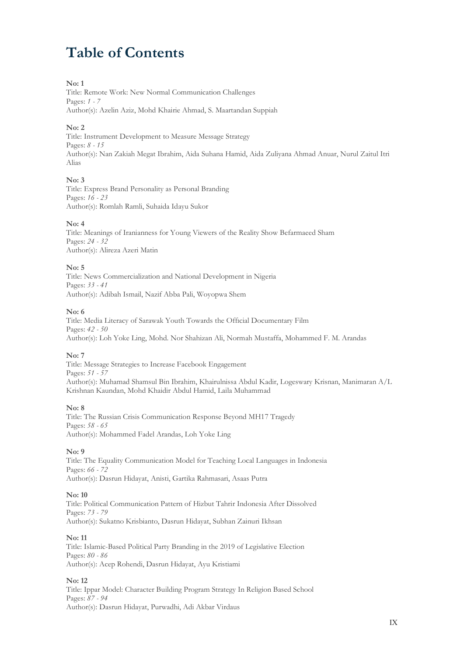# **Table of Contents**

# **No: 1**

Title: Remote Work: New Normal Communication Challenges Pages: *1 - 7* Author(s): Azelin Aziz, Mohd Khairie Ahmad, S. Maartandan Suppiah

# **No: 2**

Title: Instrument Development to Measure Message Strategy Pages: *8 - 15* Author(s): Nan Zakiah Megat Ibrahim, Aida Suhana Hamid, Aida Zuliyana Ahmad Anuar, Nurul Zaitul Itri Alias

# **No: 3**

Title: Express Brand Personality as Personal Branding Pages: *16 - 23* Author(s): Romlah Ramli, Suhaida Idayu Sukor

# **No: 4**

Title: Meanings of Iranianness for Young Viewers of the Reality Show Befarmaeed Sham Pages: *24 - 32* Author(s): Alireza Azeri Matin

# **No: 5**

Title: News Commercialization and National Development in Nigeria Pages: *33 - 41* Author(s): Adibah Ismail, Nazif Abba Pali, Woyopwa Shem

# **No: 6**

Title: Media Literacy of Sarawak Youth Towards the Offıcial Documentary Film Pages: *42 - 50* Author(s): Loh Yoke Ling, Mohd. Nor Shahizan Ali, Normah Mustaffa, Mohammed F. M. Arandas

# **No: 7**

Title: Message Strategies to Increase Facebook Engagement Pages: *51 - 57* Author(s): Muhamad Shamsul Bin Ibrahim, Khairulnissa Abdul Kadir, Logeswary Krisnan, Manimaran A/L Krishnan Kaundan, Mohd Khaidir Abdul Hamid, Laila Muhammad

# **No: 8**

Title: The Russian Crisis Communication Response Beyond MH17 Tragedy Pages: *58 - 65* Author(s): Mohammed Fadel Arandas, Loh Yoke Ling

# **No: 9**

Title: The Equality Communication Model for Teaching Local Languages in Indonesia Pages: *66 - 72* Author(s): Dasrun Hidayat, Anisti, Gartika Rahmasari, Asaas Putra

# **No: 10**

Title: Political Communication Pattern of Hizbut Tahrir Indonesia After Dissolved Pages: *73 - 79* Author(s): Sukatno Krisbianto, Dasrun Hidayat, Subhan Zainuri Ikhsan

# **No: 11**

Title: Islamic-Based Political Party Branding in the 2019 of Legislative Election Pages: *80 - 86* Author(s): Acep Rohendi, Dasrun Hidayat, Ayu Kristiami

# **No: 12**

Title: Ippar Model: Character Building Program Strategy In Religion Based School Pages: *87 - 94* Author(s): Dasrun Hidayat, Purwadhi, Adi Akbar Virdaus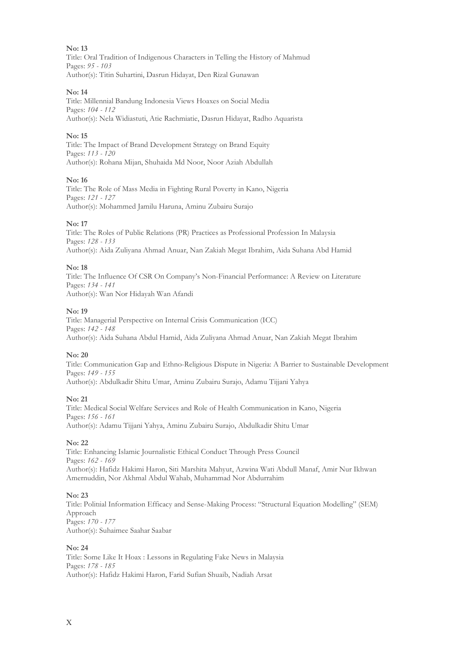Title: Oral Tradition of Indigenous Characters in Telling the History of Mahmud Pages: *95 - 103* Author(s): Titin Suhartini, Dasrun Hidayat, Den Rizal Gunawan

#### **No: 14**

Title: Millennial Bandung Indonesia Views Hoaxes on Social Media Pages: *104 - 112* Author(s): Nela Widiastuti, Atie Rachmiatie, Dasrun Hidayat, Radho Aquarista

# **No: 15**

Title: The Impact of Brand Development Strategy on Brand Equity Pages: *113 - 120* Author(s): Rohana Mijan, Shuhaida Md Noor, Noor Aziah Abdullah

#### **No: 16**

Title: The Role of Mass Media in Fighting Rural Poverty in Kano, Nigeria Pages: *121 - 127* Author(s): Mohammed Jamilu Haruna, Aminu Zubairu Surajo

#### **No: 17**

Title: The Roles of Public Relations (PR) Practices as Professional Profession In Malaysia Pages: *128 - 133* Author(s): Aida Zuliyana Ahmad Anuar, Nan Zakiah Megat Ibrahim, Aida Suhana Abd Hamid

#### **No: 18**

Title: The Influence Of CSR On Company's Non-Financial Performance: A Review on Literature Pages: *134 - 141* Author(s): Wan Nor Hidayah Wan Afandi

#### **No: 19**

Title: Managerial Perspective on Internal Crisis Communication (ICC) Pages: *142 - 148* Author(s): Aida Suhana Abdul Hamid, Aida Zuliyana Ahmad Anuar, Nan Zakiah Megat Ibrahim

# **No: 20**

Title: Communication Gap and Ethno-Religious Dispute in Nigeria: A Barrier to Sustainable Development Pages: *149 - 155* Author(s): Abdulkadir Shitu Umar, Aminu Zubairu Surajo, Adamu Tijjani Yahya

# **No: 21**

Title: Medical Social Welfare Services and Role of Health Communication in Kano, Nigeria Pages: *156 - 161* Author(s): Adamu Tijjani Yahya, Aminu Zubairu Surajo, Abdulkadir Shitu Umar

# **No: 22**

Title: Enhancing Islamic Journalistic Ethical Conduct Through Press Council Pages: *162 - 169* Author(s): Hafidz Hakimi Haron, Siti Marshita Mahyut, Azwina Wati Abdull Manaf, Amir Nur Ikhwan Amernuddin, Nor Akhmal Abdul Wahab, Muhammad Nor Abdurrahim

# **No: 23**

Title: Politıial Information Efficacy and Sense-Making Process: "Structural Equation Modelling" (SEM) Approach Pages: *170 - 177* Author(s): Suhaimee Saahar Saabar

#### **No: 24**

Title: Some Like It Hoax : Lessons in Regulating Fake News in Malaysia Pages: *178 - 185* Author(s): Hafidz Hakimi Haron, Farid Sufian Shuaib, Nadiah Arsat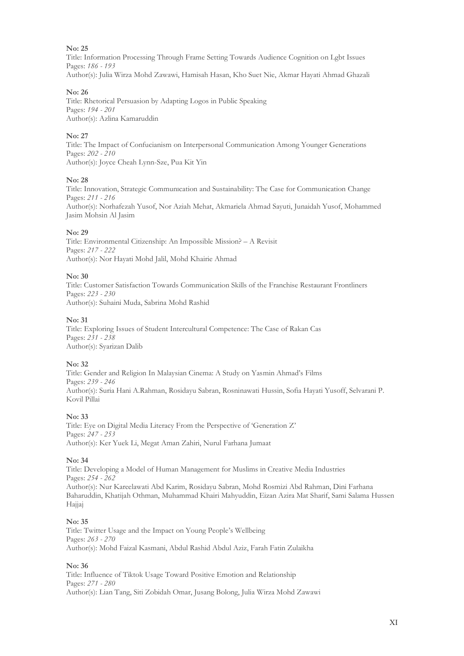Title: Information Processing Through Frame Setting Towards Audience Cognition on Lgbt Issues Pages: *186 - 193* Author(s): Julia Wirza Mohd Zawawi, Hamisah Hasan, Kho Suet Nie, Akmar Hayati Ahmad Ghazali

# **No: 26**

Title: Rhetorical Persuasion by Adapting Logos in Public Speaking Pages: *194 - 201* Author(s): Azlina Kamaruddin

# **No: 27**

Title: The Impact of Confucianism on Interpersonal Communication Among Younger Generations Pages: *202 - 210* Author(s): Joyce Cheah Lynn-Sze, Pua Kit Yin

# **No: 28**

Title: Innovation, Strategic Communıcation and Sustainability: The Case for Communication Change Pages: *211 - 216* Author(s): Norhafezah Yusof, Nor Aziah Mehat, Akmariela Ahmad Sayuti, Junaidah Yusof, Mohammed Jasim Mohsin Al Jasim

# **No: 29**

Title: Environmental Citizenship: An Impossible Mission? – A Revisit Pages: *217 - 222* Author(s): Nor Hayati Mohd Jalil, Mohd Khairie Ahmad

# **No: 30**

Title: Customer Satisfaction Towards Communication Skills of the Franchise Restaurant Frontliners Pages: *223 - 230* Author(s): Suhaini Muda, Sabrina Mohd Rashid

# **No: 31**

Title: Exploring Issues of Student Intercultural Competence: The Case of Rakan Cas Pages: *231 - 238* Author(s): Syarizan Dalib

# **No: 32**

Title: Gender and Religion In Malaysian Cinema: A Study on Yasmin Ahmad's Films Pages: *239 - 246* Author(s): Suria Hani A.Rahman, Rosidayu Sabran, Rosninawati Hussin, Sofia Hayati Yusoff, Selvarani P. Kovil Pillai

# **No: 33**

Title: Eye on Digital Media Literacy From the Perspective of 'Generation Z' Pages: *247 - 253* Author(s): Ker Yuek Li, Megat Aman Zahiri, Nurul Farhana Jumaat

# **No: 34**

Title: Developing a Model of Human Management for Muslims in Creative Media Industries Pages: *254 - 262* Author(s): Nur Kareelawati Abd Karim, Rosidayu Sabran, Mohd Rosmizi Abd Rahman, Dini Farhana Baharuddin, Khatijah Othman, Muhammad Khairi Mahyuddin, Eizan Azira Mat Sharif, Sami Salama Hussen Hajjaj

# **No: 35**

Title: Twitter Usage and the Impact on Young People's Wellbeing Pages: *263 - 270* Author(s): Mohd Faizal Kasmani, Abdul Rashid Abdul Aziz, Farah Fatin Zulaikha

# **No: 36**

Title: Influence of Tiktok Usage Toward Positive Emotion and Relationship Pages: *271 - 280* Author(s): Lian Tang, Siti Zobidah Omar, Jusang Bolong, Julia Wirza Mohd Zawawi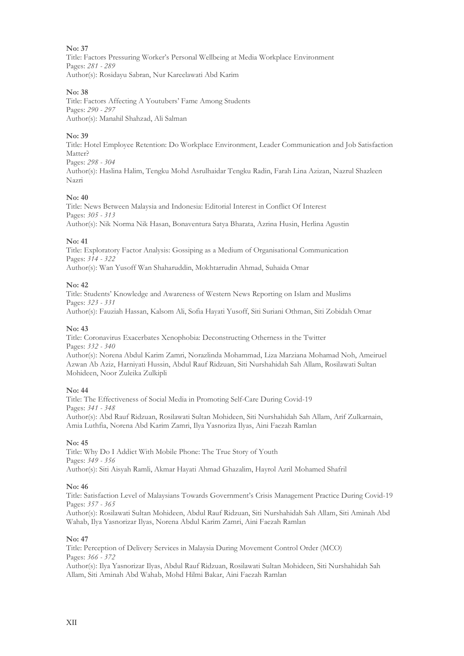Title: Factors Pressuring Worker's Personal Wellbeing at Media Workplace Environment Pages: *281 - 289* Author(s): Rosidayu Sabran, Nur Kareelawati Abd Karim

# **No: 38**

Title: Factors Affecting A Youtubers' Fame Among Students Pages: *290 - 297* Author(s): Manahil Shahzad, Ali Salman

# **No: 39**

Title: Hotel Employee Retention: Do Workplace Environment, Leader Communication and Job Satisfaction Matter? Pages: *298 - 304*

Author(s): Haslina Halim, Tengku Mohd Asrulhaidar Tengku Radin, Farah Lina Azizan, Nazrul Shazleen Nazri

# **No: 40**

Title: News Between Malaysia and Indonesia: Editorial Interest in Conflict Of Interest Pages: *305 - 313* Author(s): Nik Norma Nik Hasan, Bonaventura Satya Bharata, Azrina Husin, Herlina Agustin

# **No: 41**

Title: Exploratory Factor Analysis: Gossiping as a Medium of Organisational Communication Pages: *314 - 322*

Author(s): Wan Yusoff Wan Shaharuddin, Mokhtarrudin Ahmad, Suhaida Omar

# **No: 42**

Title: Students' Knowledge and Awareness of Western News Reporting on Islam and Muslims Pages: *323 - 331* Author(s): Fauziah Hassan, Kalsom Ali, Sofia Hayati Yusoff, Siti Suriani Othman, Siti Zobidah Omar

# **No: 43**

Title: Coronavirus Exacerbates Xenophobia: Deconstructing Otherness in the Twitter Pages: *332 - 340* Author(s): Norena Abdul Karim Zamri, Norazlinda Mohammad, Liza Marziana Mohamad Noh, Ameiruel Azwan Ab Aziz, Harniyati Hussin, Abdul Rauf Ridzuan, Siti Nurshahidah Sah Allam, Rosilawati Sultan Mohideen, Noor Zuleika Zulkipli

# **No: 44**

Title: The Effectiveness of Social Media in Promoting Self-Care During Covid-19 Pages: *341 - 348* Author(s): Abd Rauf Ridzuan, Rosilawati Sultan Mohideen, Siti Nurshahidah Sah Allam, Arif Zulkarnain, Amia Luthfia, Norena Abd Karim Zamri, Ilya Yasnoriza Ilyas, Aini Faezah Ramlan

# **No: 45**

Title: Why Do I Addict With Mobile Phone: The True Story of Youth Pages: *349 - 356* Author(s): Siti Aisyah Ramli, Akmar Hayati Ahmad Ghazalim, Hayrol Azril Mohamed Shafril

# **No: 46**

Title: Satisfaction Level of Malaysians Towards Government's Crisis Management Practice During Covid-19 Pages: *357 - 365*

Author(s): Rosilawati Sultan Mohideen, Abdul Rauf Ridzuan, Siti Nurshahidah Sah Allam, Siti Aminah Abd Wahab, Ilya Yasnorizar Ilyas, Norena Abdul Karim Zamri, Aini Faezah Ramlan

# **No: 47**

Title: Perception of Delivery Services in Malaysia During Movement Control Order (MCO) Pages: *366 - 372*

Author(s): Ilya Yasnorizar Ilyas, Abdul Rauf Ridzuan, Rosilawati Sultan Mohideen, Siti Nurshahidah Sah Allam, Siti Aminah Abd Wahab, Mohd Hilmi Bakar, Aini Faezah Ramlan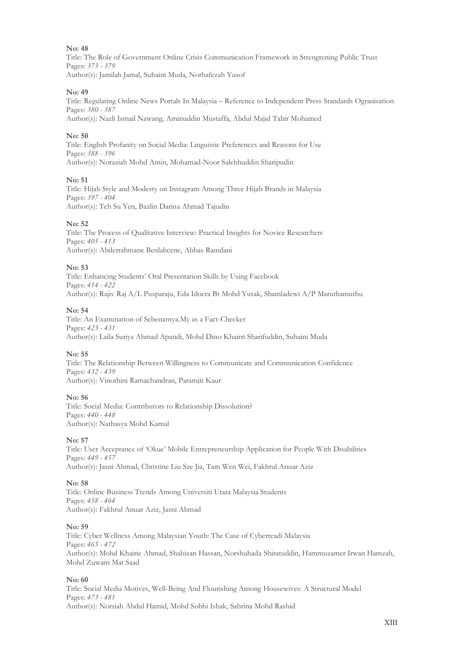Title: The Role of Government Online Crisis Communication Framework in Strengtening Public Trust Pages: *373 - 379* Author(s): Jamilah Jamal, Suhaini Muda, Norhafezah Yusof

#### **No: 49**

Title: Regulating Online News Portals In Malaysia – Reference to Independent Press Standards Ogranisation Pages: *380 - 387* Author(s): Nazli Ismail Nawang, Aminuddin Mustaffa, Abdul Majid Tahir Mohamed

#### **No: 50**

Title: English Profanity on Social Media: Linguistic Preferences and Reasons for Use Pages: *388 - 396* Author(s): Noraziah Mohd Amin, Mohamad-Noor Salehhuddin Sharipudin

#### **No: 51**

Title: Hijab Style and Modesty on Instagram Among Three Hijab Brands in Malaysia Pages: *397 - 404* Author(s): Teh Su Yen, Bazlin Darina Ahmad Tajudin

#### **No: 52**

Title: The Process of Qualitative Interview: Practical Insights for Novice Researchers Pages: *405 - 413* Author(s): Abderrahmane Benlahcene, Abbas Ramdani

#### **No: 53**

Title: Enhancing Students' Oral Presentation Skills by Using Facebook Pages: *414 - 422* Author(s): Rajiv Raj A/L Pusparaju, Eda Idoera Bt Mohd Yusak, Shamladewi A/P Maruthamuthu

#### **No: 54**

Title: An Examination of Sebenarnya.My as a Fact-Checker Pages: *423 - 431* Author(s): Laila Suriya Ahmad Apandi, Mohd Dino Khairri Sharifuddin, Suhaini Muda

# **No: 55**

Title: The Relationship Between Willingness to Communicate and Communication Confidence Pages: *432 - 439* Author(s): Vinothini Ramachandran, Paramjit Kaur

#### **No: 56**

Title: Social Media: Contributors to Relationship Dissolution? Pages: *440 - 448* Author(s): Nathasya Mohd Kamal

#### **No: 57**

Title: User Acceptance of 'Okue' Mobile Entrepreneurship Application for People With Disabilities Pages: *449 - 457* Author(s): Jasni Ahmad, Christine Liu Sze Jia, Tam Wen Wei, Fakhrul Anuar Aziz

#### **No: 58**

Title: Online Business Trends Among Universiti Utara Malaysıa Students Pages: *458 - 464* Author(s): Fakhrul Anuar Aziz, Jasni Ahmad

#### **No: 59**

Title: Cyber Wellness Among Malaysian Youth: The Case of Cyberreadi Malaysia Pages: *465 - 472* Author(s): Mohd Khairie Ahmad, Shahizan Hassan, Norshuhada Shiratuddin, Hammuzamer Irwan Hamzah, Mohd Zuwairi Mat Saad

#### **No: 60**

Title: Social Media Motives, Well-Being And Flourishing Among Housewives: A Structural Model Pages: *473 - 481* Author(s): Norsiah Abdul Hamid, Mohd Sobhi Ishak, Sabrina Mohd Rashid